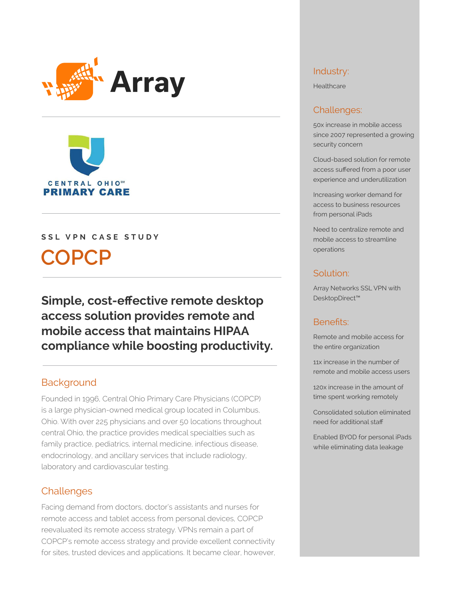



#### SSL VPN CASE STUDY

# **COPCP**

**Simple, cost-effective remote desktop access solution provides remote and mobile access that maintains HIPAA compliance while boosting productivity.** 

## **Background**

Founded in 1996, Central Ohio Primary Care Physicians (COPCP) is a large physician-owned medical group located in Columbus, Ohio. With over 225 physicians and over 50 locations throughout central Ohio, the practice provides medical specialties such as family practice, pediatrics, internal medicine, infectious disease, endocrinology, and ancillary services that include radiology, laboratory and cardiovascular testing.

## Challenges

Facing demand from doctors, doctor's assistants and nurses for remote access and tablet access from personal devices, COPCP reevaluated its remote access strategy. VPNs remain a part of COPCP's remote access strategy and provide excellent connectivity for sites, trusted devices and applications. It became clear, however,

#### Industry:

**Healthcare** 

#### Challenges:

50x increase in mobile access since 2007 represented a growing security concern

Cloud-based solution for remote access suffered from a poor user experience and underutilization

Increasing worker demand for access to business resources from personal iPads

Need to centralize remote and mobile access to streamline operations

#### Solution:

Array Networks SSL VPN with DesktopDirect™

### Benefits:

Remote and mobile access for the entire organization

11x increase in the number of remote and mobile access users

120x increase in the amount of time spent working remotely

Consolidated solution eliminated need for additional staff

Enabled BYOD for personal iPads while eliminating data leakage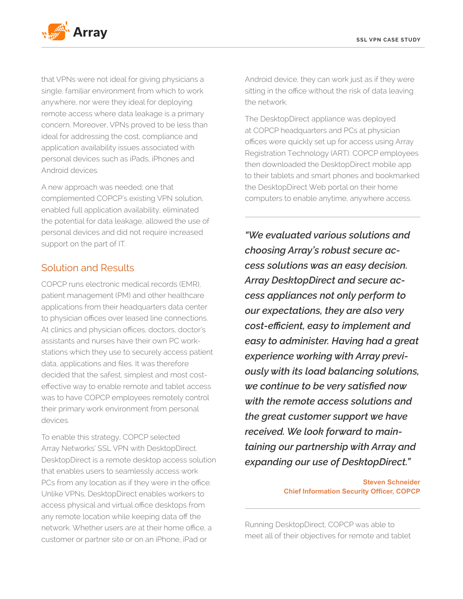

that VPNs were not ideal for giving physicians a single, familiar environment from which to work anywhere, nor were they ideal for deploying remote access where data leakage is a primary concern. Moreover, VPNs proved to be less than ideal for addressing the cost, compliance and application availability issues associated with personal devices such as iPads, iPhones and Android devices.

A new approach was needed; one that complemented COPCP's existing VPN solution, enabled full application availability, eliminated the potential for data leakage, allowed the use of personal devices and did not require increased support on the part of IT.

# Solution and Results

COPCP runs electronic medical records (EMR), patient management (PM) and other healthcare applications from their headquarters data center to physician offices over leased line connections. At clinics and physician offices, doctors, doctor's assistants and nurses have their own PC workstations which they use to securely access patient data, applications and files. It was therefore decided that the safest, simplest and most costeffective way to enable remote and tablet access was to have COPCP employees remotely control their primary work environment from personal devices.

To enable this strategy, COPCP selected Array Networks' SSL VPN with DesktopDirect. DesktopDirect is a remote desktop access solution that enables users to seamlessly access work PCs from any location as if they were in the office. Unlike VPNs, DesktopDirect enables workers to access physical and virtual office desktops from any remote location while keeping data off the network. Whether users are at their home office, a customer or partner site or on an iPhone, iPad or

Android device, they can work just as if they were sitting in the office without the risk of data leaving the network.

The DesktopDirect appliance was deployed at COPCP headquarters and PCs at physician offices were quickly set up for access using Array Registration Technology (ART). COPCP employees then downloaded the DesktopDirect mobile app to their tablets and smart phones and bookmarked the DesktopDirect Web portal on their home computers to enable anytime, anywhere access.

*"We evaluated various solutions and choosing Array's robust secure access solutions was an easy decision. Array DesktopDirect and secure access appliances not only perform to our expectations, they are also very cost-efficient, easy to implement and easy to administer. Having had a great experience working with Array previously with its load balancing solutions, we continue to be very satisfied now with the remote access solutions and the great customer support we have received. We look forward to maintaining our partnership with Array and expanding our use of DesktopDirect."*

> **Steven Schneider Chief Information Security Officer, COPCP**

Running DesktopDirect, COPCP was able to meet all of their objectives for remote and tablet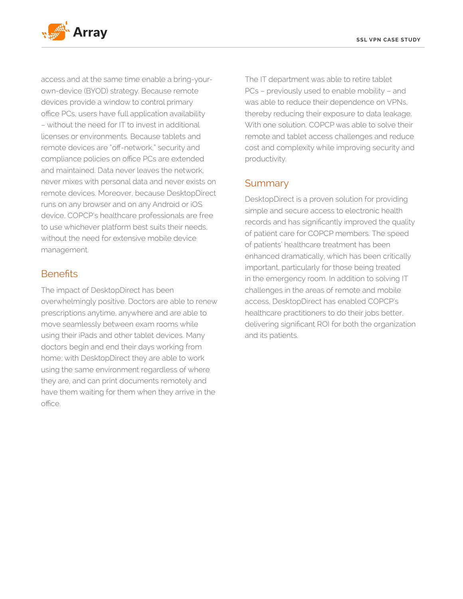

access and at the same time enable a bring-yourown-device (BYOD) strategy. Because remote devices provide a window to control primary office PCs, users have full application availability – without the need for IT to invest in additional licenses or environments. Because tablets and remote devices are "off-network," security and compliance policies on office PCs are extended and maintained. Data never leaves the network, never mixes with personal data and never exists on remote devices. Moreover, because DesktopDirect runs on any browser and on any Android or iOS device, COPCP's healthcare professionals are free to use whichever platform best suits their needs, without the need for extensive mobile device management.

# **Benefits**

The impact of DesktopDirect has been overwhelmingly positive. Doctors are able to renew prescriptions anytime, anywhere and are able to move seamlessly between exam rooms while using their iPads and other tablet devices. Many doctors begin and end their days working from home; with DesktopDirect they are able to work using the same environment regardless of where they are, and can print documents remotely and have them waiting for them when they arrive in the office.

The IT department was able to retire tablet PCs – previously used to enable mobility – and was able to reduce their dependence on VPNs, thereby reducing their exposure to data leakage. With one solution, COPCP was able to solve their remote and tablet access challenges and reduce cost and complexity while improving security and productivity.

## Summary

DesktopDirect is a proven solution for providing simple and secure access to electronic health records and has significantly improved the quality of patient care for COPCP members. The speed of patients' healthcare treatment has been enhanced dramatically, which has been critically important, particularly for those being treated in the emergency room. In addition to solving IT challenges in the areas of remote and mobile access, DesktopDirect has enabled COPCP's healthcare practitioners to do their jobs better, delivering significant ROI for both the organization and its patients.